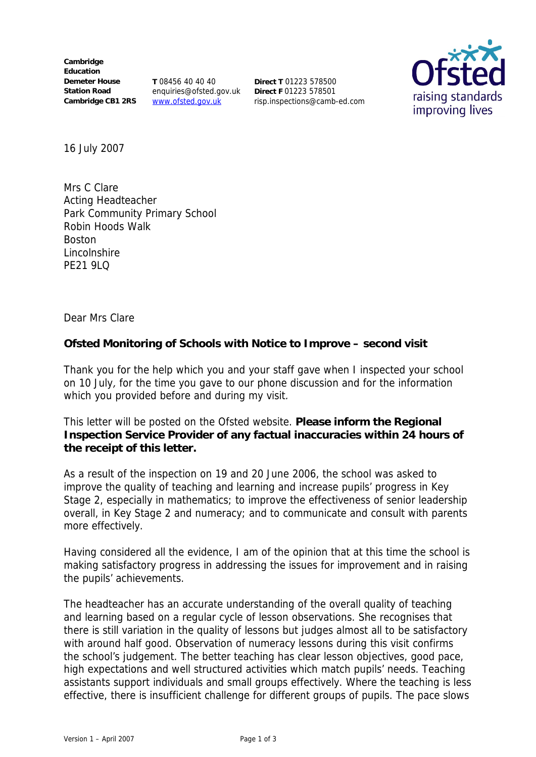**Cambridge Education Demeter House Station Road** Cambridge CB1 2RS www.ofsted.gov.uk

**T** 08456 40 40 40 enquiries@ofsted.gov.uk **Direct F** 01223 578501

**Direct T** 01223 578500 risp.inspections@camb-ed.com



16 July 2007

Mrs C Clare Acting Headteacher Park Community Primary School Robin Hoods Walk Boston Lincolnshire **PF21 9LQ** 

Dear Mrs Clare

**Ofsted Monitoring of Schools with Notice to Improve – second visit**

Thank you for the help which you and your staff gave when I inspected your school on 10 July, for the time you gave to our phone discussion and for the information which you provided before and during my visit.

This letter will be posted on the Ofsted website. **Please inform the Regional Inspection Service Provider of any factual inaccuracies within 24 hours of the receipt of this letter.**

As a result of the inspection on 19 and 20 June 2006, the school was asked to improve the quality of teaching and learning and increase pupils' progress in Key Stage 2, especially in mathematics; to improve the effectiveness of senior leadership overall, in Key Stage 2 and numeracy; and to communicate and consult with parents more effectively.

Having considered all the evidence, I am of the opinion that at this time the school is making satisfactory progress in addressing the issues for improvement and in raising the pupils' achievements.

The headteacher has an accurate understanding of the overall quality of teaching and learning based on a regular cycle of lesson observations. She recognises that there is still variation in the quality of lessons but judges almost all to be satisfactory with around half good. Observation of numeracy lessons during this visit confirms the school's judgement. The better teaching has clear lesson objectives, good pace, high expectations and well structured activities which match pupils' needs. Teaching assistants support individuals and small groups effectively. Where the teaching is less effective, there is insufficient challenge for different groups of pupils. The pace slows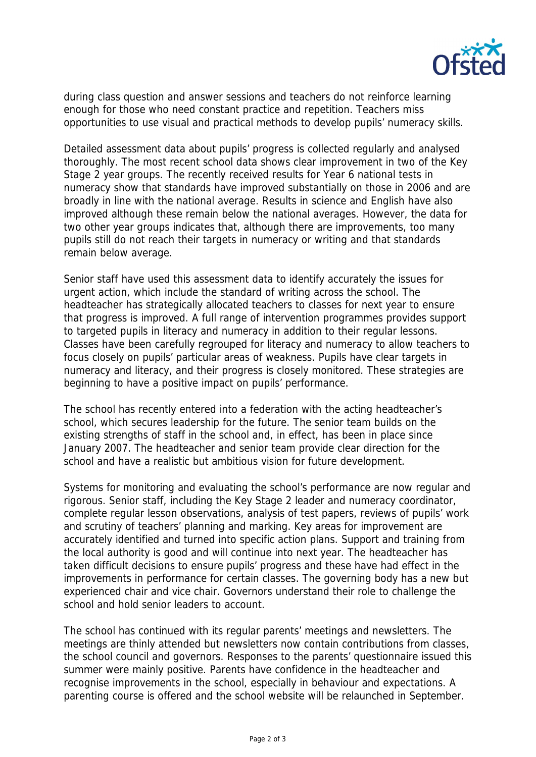

during class question and answer sessions and teachers do not reinforce learning enough for those who need constant practice and repetition. Teachers miss opportunities to use visual and practical methods to develop pupils' numeracy skills.

Detailed assessment data about pupils' progress is collected regularly and analysed thoroughly. The most recent school data shows clear improvement in two of the Key Stage 2 year groups. The recently received results for Year 6 national tests in numeracy show that standards have improved substantially on those in 2006 and are broadly in line with the national average. Results in science and English have also improved although these remain below the national averages. However, the data for two other year groups indicates that, although there are improvements, too many pupils still do not reach their targets in numeracy or writing and that standards remain below average.

Senior staff have used this assessment data to identify accurately the issues for urgent action, which include the standard of writing across the school. The headteacher has strategically allocated teachers to classes for next year to ensure that progress is improved. A full range of intervention programmes provides support to targeted pupils in literacy and numeracy in addition to their regular lessons. Classes have been carefully regrouped for literacy and numeracy to allow teachers to focus closely on pupils' particular areas of weakness. Pupils have clear targets in numeracy and literacy, and their progress is closely monitored. These strategies are beginning to have a positive impact on pupils' performance.

The school has recently entered into a federation with the acting headteacher's school, which secures leadership for the future. The senior team builds on the existing strengths of staff in the school and, in effect, has been in place since January 2007. The headteacher and senior team provide clear direction for the school and have a realistic but ambitious vision for future development.

Systems for monitoring and evaluating the school's performance are now regular and rigorous. Senior staff, including the Key Stage 2 leader and numeracy coordinator, complete regular lesson observations, analysis of test papers, reviews of pupils' work and scrutiny of teachers' planning and marking. Key areas for improvement are accurately identified and turned into specific action plans. Support and training from the local authority is good and will continue into next year. The headteacher has taken difficult decisions to ensure pupils' progress and these have had effect in the improvements in performance for certain classes. The governing body has a new but experienced chair and vice chair. Governors understand their role to challenge the school and hold senior leaders to account.

The school has continued with its regular parents' meetings and newsletters. The meetings are thinly attended but newsletters now contain contributions from classes, the school council and governors. Responses to the parents' questionnaire issued this summer were mainly positive. Parents have confidence in the headteacher and recognise improvements in the school, especially in behaviour and expectations. A parenting course is offered and the school website will be relaunched in September.